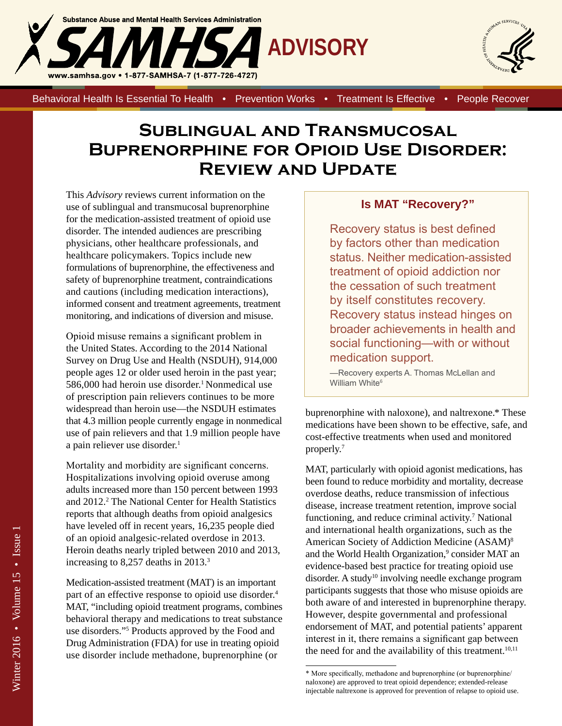



Behavioral Health Is Essential To Health • Prevention Works • Treatment Is Effective • People Recover

## **Sublingual and Transmucosal Buprenorphine for Opioid Use Disorder: Review and Update**

This *Advisory* reviews current information on the use of sublingual and transmucosal buprenorphine for the medication-assisted treatment of opioid use disorder. The intended audiences are prescribing physicians, other healthcare professionals, and healthcare policymakers. Topics include new formulations of buprenorphine, the effectiveness and safety of buprenorphine treatment, contraindications and cautions (including medication interactions), informed consent and treatment agreements, treatment monitoring, and indications of diversion and misuse.

Opioid misuse remains a significant problem in the United States. According to the 2014 National Survey on Drug Use and Health (NSDUH), 914,000 people ages 12 or older used heroin in the past year; 586,000 had heroin use disorder.<sup>1</sup> Nonmedical use of prescription pain relievers continues to be more widespread than heroin use—the NSDUH estimates that 4.3 million people currently engage in nonmedical use of pain relievers and that 1.9 million people have a pain reliever use disorder.<sup>1</sup>

Mortality and morbidity are significant concerns. Hospitalizations involving opioid overuse among adults increased more than 150 percent between 1993 and 2012.<sup>2</sup> The National Center for Health Statistics reports that although deaths from opioid analgesics have leveled off in recent years, 16,235 people died of an opioid analgesic-related overdose in 2013. Heroin deaths nearly tripled between 2010 and 2013, increasing to 8,257 deaths in 2013.<sup>3</sup>

Medication-assisted treatment (MAT) is an important part of an effective response to opioid use disorder.<sup>4</sup> MAT, "including opioid treatment programs, combines behavioral therapy and medications to treat substance use disorders."5 Products approved by the Food and Drug Administration (FDA) for use in treating opioid use disorder include methadone, buprenorphine (or

#### **Is MAT "Recovery?"**

Recovery status is best defined by factors other than medication status. Neither medication-assisted treatment of opioid addiction nor the cessation of such treatment by itself constitutes recovery. Recovery status instead hinges on broader achievements in health and social functioning—with or without medication support.

—Recovery experts A. Thomas McLellan and William White<sup>6</sup>

buprenorphine with naloxone), and naltrexone.\* These medications have been shown to be effective, safe, and cost-effective treatments when used and monitored properly.7

MAT, particularly with opioid agonist medications, has been found to reduce morbidity and mortality, decrease overdose deaths, reduce transmission of infectious disease, increase treatment retention, improve social functioning, and reduce criminal activity.<sup>7</sup> National and international health organizations, such as the American Society of Addiction Medicine (ASAM)8 and the World Health Organization,<sup>9</sup> consider MAT an evidence-based best practice for treating opioid use disorder. A study<sup>10</sup> involving needle exchange program participants suggests that those who misuse opioids are both aware of and interested in buprenorphine therapy. However, despite governmental and professional endorsement of MAT, and potential patients' apparent interest in it, there remains a significant gap between the need for and the availability of this treatment. $10,11$ 

<sup>\*</sup> More specifically, methadone and buprenorphine (or buprenorphine/ naloxone) are approved to treat opioid dependence; extended-release injectable naltrexone is approved for prevention of relapse to opioid use.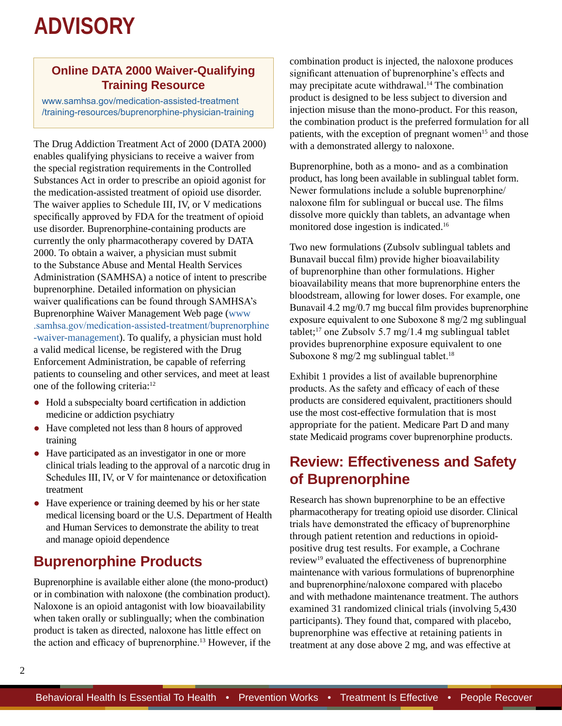### **Online DATA 2000 Waiver-Qualifying Training Resource**

www.samhsa.gov/medication-assisted-treatment [/training-resources/buprenorphine-physician-training](http://www.samhsa.gov/medication-assisted-treatment/training-resources/buprenorphine-physician-training)

The Drug Addiction Treatment Act of 2000 (DATA 2000) enables qualifying physicians to receive a waiver from the special registration requirements in the Controlled Substances Act in order to prescribe an opioid agonist for the medication-assisted treatment of opioid use disorder. The waiver applies to Schedule III, IV, or V medications specifically approved by FDA for the treatment of opioid use disorder. Buprenorphine-containing products are currently the only pharmacotherapy covered by DATA 2000. To obtain a waiver, a physician must submit to the Substance Abuse and Mental Health Services Administration (SAMHSA) a notice of intent to prescribe buprenorphine. Detailed information on physician waiver qualifications can be found through SAMHSA's Buprenorphine Waiver Management Web page [\(www](http://www.samhsa.gov/medication-assisted-treatment/buprenorphine-waiver-management) [.samhsa.gov/medication-assisted-treatment/buprenorphine](http://www.samhsa.gov/medication-assisted-treatment/buprenorphine-waiver-management) [-waiver-management\)](http://www.samhsa.gov/medication-assisted-treatment/buprenorphine-waiver-management). To qualify, a physician must hold a valid medical license, be registered with the Drug Enforcement Administration, be capable of referring patients to counseling and other services, and meet at least one of the following criteria:<sup>12</sup>

- Hold a subspecialty board certification in addiction medicine or addiction psychiatry
- Have completed not less than 8 hours of approved training
- Have participated as an investigator in one or more clinical trials leading to the approval of a narcotic drug in Schedules III, IV, or V for maintenance or detoxification treatment
- Have experience or training deemed by his or her state medical licensing board or the U.S. Department of Health and Human Services to demonstrate the ability to treat and manage opioid dependence

## **Buprenorphine Products**

Buprenorphine is available either alone (the mono-product) or in combination with naloxone (the combination product). Naloxone is an opioid antagonist with low bioavailability when taken orally or sublingually; when the combination product is taken as directed, naloxone has little effect on the action and efficacy of buprenorphine.<sup>13</sup> However, if the combination product is injected, the naloxone produces significant attenuation of buprenorphine's effects and may precipitate acute withdrawal.<sup>14</sup> The combination product is designed to be less subject to diversion and injection misuse than the mono-product. For this reason, the combination product is the preferred formulation for all patients, with the exception of pregnant women<sup>15</sup> and those with a demonstrated allergy to naloxone.

Buprenorphine, both as a mono- and as a combination product, has long been available in sublingual tablet form. Newer formulations include a soluble buprenorphine/ naloxone film for sublingual or buccal use. The films dissolve more quickly than tablets, an advantage when monitored dose ingestion is indicated.16

Two new formulations (Zubsolv sublingual tablets and Bunavail buccal film) provide higher bioavailability of buprenorphine than other formulations. Higher bioavailability means that more buprenorphine enters the bloodstream, allowing for lower doses. For example, one Bunavail 4.2 mg/0.7 mg buccal film provides buprenorphine exposure equivalent to one Suboxone 8 mg/2 mg sublingual tablet;<sup>17</sup> one Zubsolv 5.7 mg/1.4 mg sublingual tablet provides buprenorphine exposure equivalent to one Suboxone 8 mg/2 mg sublingual tablet.<sup>18</sup>

Exhibit 1 provides a list of available buprenorphine products. As the safety and efficacy of each of these products are considered equivalent, practitioners should use the most cost-effective formulation that is most appropriate for the patient. Medicare Part D and many state Medicaid programs cover buprenorphine products.

## **Review: Effectiveness and Safety of Buprenorphine**

Research has shown buprenorphine to be an effective pharmacotherapy for treating opioid use disorder. Clinical trials have demonstrated the efficacy of buprenorphine through patient retention and reductions in opioidpositive drug test results. For example, a Cochrane review19 evaluated the effectiveness of buprenorphine maintenance with various formulations of buprenorphine and buprenorphine/naloxone compared with placebo and with methadone maintenance treatment. The authors examined 31 randomized clinical trials (involving 5,430 participants). They found that, compared with placebo, buprenorphine was effective at retaining patients in treatment at any dose above 2 mg, and was effective at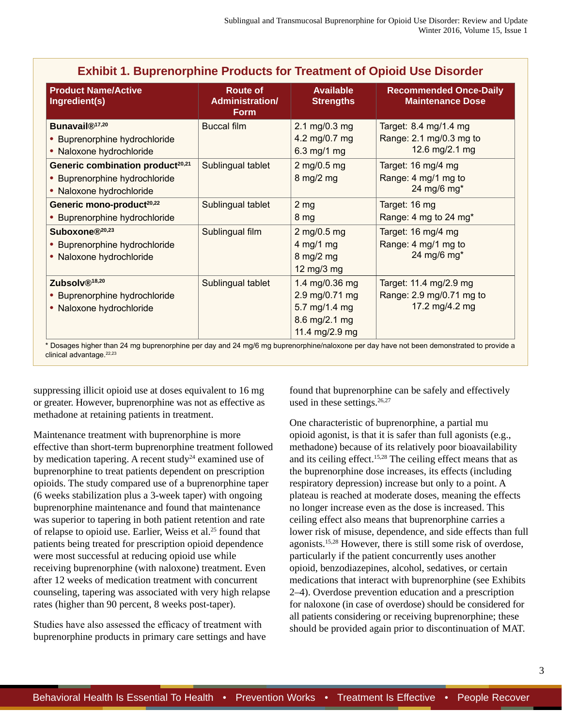| <b>Product Name/Active</b><br>Ingredient(s)                                                               | <b>Route of</b><br><b>Administration/</b><br><b>Form</b> | <b>Available</b><br><b>Strengths</b>                                                 | <b>Recommended Once-Daily</b><br><b>Maintenance Dose</b>             |
|-----------------------------------------------------------------------------------------------------------|----------------------------------------------------------|--------------------------------------------------------------------------------------|----------------------------------------------------------------------|
| Bunavail <sup>®17,20</sup><br>• Buprenorphine hydrochloride<br>• Naloxone hydrochloride                   | <b>Buccal film</b>                                       | 2.1 mg/0.3 mg<br>4.2 mg/0.7 mg<br>6.3 mg/1 mg                                        | Target: 8.4 mg/1.4 mg<br>Range: 2.1 mg/0.3 mg to<br>12.6 mg/2.1 mg   |
| Generic combination product <sup>20,21</sup><br>• Buprenorphine hydrochloride<br>• Naloxone hydrochloride | Sublingual tablet                                        | 2 mg/0.5 mg<br>8 mg/2 mg                                                             | Target: 16 mg/4 mg<br>Range: 4 mg/1 mg to<br>24 mg/6 mg*             |
| Generic mono-product <sup>20,22</sup><br>• Buprenorphine hydrochloride                                    | Sublingual tablet                                        | 2 <sub>mg</sub><br>8 mg                                                              | Target: 16 mg<br>Range: 4 mg to 24 mg*                               |
| Suboxone®20,23<br>• Buprenorphine hydrochloride<br>• Naloxone hydrochloride                               | Sublingual film                                          | 2 mg/0.5 mg<br>$4$ mg/1 mg<br>$8 \text{ mg}/2 \text{ mg}$<br>12 mg/3 mg              | Target: 16 mg/4 mg<br>Range: 4 mg/1 mg to<br>24 mg/6 mg*             |
| Zubsolv <sup>®18,20</sup><br>• Buprenorphine hydrochloride<br>• Naloxone hydrochloride                    | Sublingual tablet                                        | 1.4 mg/0.36 mg<br>2.9 mg/0.71 mg<br>5.7 mg/1.4 mg<br>8.6 mg/2.1 mg<br>11.4 mg/2.9 mg | Target: 11.4 mg/2.9 mg<br>Range: 2.9 mg/0.71 mg to<br>17.2 mg/4.2 mg |

**Exhibit 1. Buprenorphine Products for Treatment of Opioid Use Disorder**

\* Dosages higher than 24 mg buprenorphine per day and 24 mg/6 mg buprenorphine/naloxone per day have not been demonstrated to provide a clinical advantage.<sup>22,23</sup>

suppressing illicit opioid use at doses equivalent to 16 mg or greater. However, buprenorphine was not as effective as methadone at retaining patients in treatment.

Maintenance treatment with buprenorphine is more effective than short-term buprenorphine treatment followed by medication tapering. A recent study<sup>24</sup> examined use of buprenorphine to treat patients dependent on prescription opioids. The study compared use of a buprenorphine taper (6 weeks stabilization plus a 3-week taper) with ongoing buprenorphine maintenance and found that maintenance was superior to tapering in both patient retention and rate of relapse to opioid use. Earlier, Weiss et al.<sup>25</sup> found that patients being treated for prescription opioid dependence were most successful at reducing opioid use while receiving buprenorphine (with naloxone) treatment. Even after 12 weeks of medication treatment with concurrent counseling, tapering was associated with very high relapse rates (higher than 90 percent, 8 weeks post-taper).

Studies have also assessed the efficacy of treatment with buprenorphine products in primary care settings and have found that buprenorphine can be safely and effectively used in these settings. $26,27$ 

One characteristic of buprenorphine, a partial mu opioid agonist, is that it is safer than full agonists (e.g., methadone) because of its relatively poor bioavailability and its ceiling effect.<sup>15,28</sup> The ceiling effect means that as the buprenorphine dose increases, its effects (including respiratory depression) increase but only to a point. A plateau is reached at moderate doses, meaning the effects no longer increase even as the dose is increased. This ceiling effect also means that buprenorphine carries a lower risk of misuse, dependence, and side effects than full agonists.15,28 However, there is still some risk of overdose, particularly if the patient concurrently uses another opioid, benzodiazepines, alcohol, sedatives, or certain medications that interact with buprenorphine (see Exhibits 2–4). Overdose prevention education and a prescription for naloxone (in case of overdose) should be considered for all patients considering or receiving buprenorphine; these should be provided again prior to discontinuation of MAT.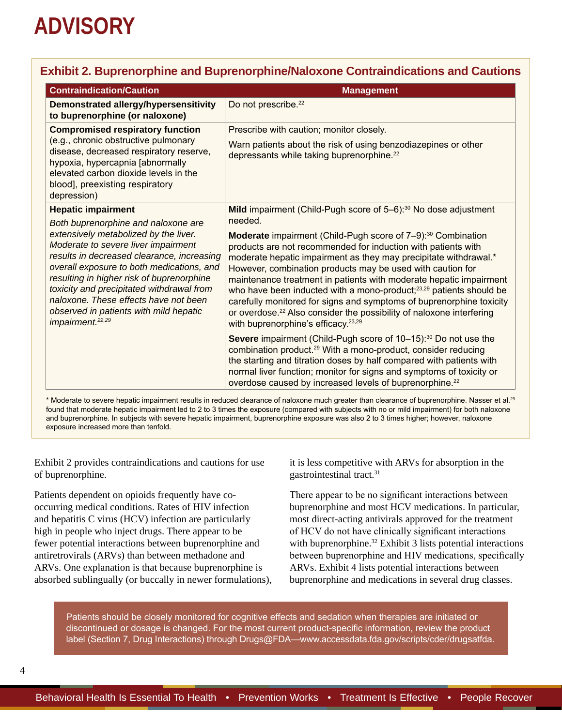### **Exhibit 2. Buprenorphine and Buprenorphine/Naloxone Contraindications and Cautions**

| <b>Contraindication/Caution</b>                                                                                                                                                                                                                                                                                                                                                                                             | <b>Management</b>                                                                                                                                                                                                                                                                                                                                                                                                                                                                                                                                                                                                                                                     |
|-----------------------------------------------------------------------------------------------------------------------------------------------------------------------------------------------------------------------------------------------------------------------------------------------------------------------------------------------------------------------------------------------------------------------------|-----------------------------------------------------------------------------------------------------------------------------------------------------------------------------------------------------------------------------------------------------------------------------------------------------------------------------------------------------------------------------------------------------------------------------------------------------------------------------------------------------------------------------------------------------------------------------------------------------------------------------------------------------------------------|
| Demonstrated allergy/hypersensitivity<br>to buprenorphine (or naloxone)                                                                                                                                                                                                                                                                                                                                                     | Do not prescribe. <sup>22</sup>                                                                                                                                                                                                                                                                                                                                                                                                                                                                                                                                                                                                                                       |
| <b>Compromised respiratory function</b><br>(e.g., chronic obstructive pulmonary<br>disease, decreased respiratory reserve,<br>hypoxia, hypercapnia [abnormally<br>elevated carbon dioxide levels in the<br>blood], preexisting respiratory<br>depression)                                                                                                                                                                   | Prescribe with caution; monitor closely.<br>Warn patients about the risk of using benzodiazepines or other<br>depressants while taking buprenorphine. <sup>22</sup>                                                                                                                                                                                                                                                                                                                                                                                                                                                                                                   |
| <b>Hepatic impairment</b>                                                                                                                                                                                                                                                                                                                                                                                                   | Mild impairment (Child-Pugh score of 5-6): <sup>30</sup> No dose adjustment                                                                                                                                                                                                                                                                                                                                                                                                                                                                                                                                                                                           |
| Both buprenorphine and naloxone are<br>extensively metabolized by the liver.<br>Moderate to severe liver impairment<br>results in decreased clearance, increasing<br>overall exposure to both medications, and<br>resulting in higher risk of buprenorphine<br>toxicity and precipitated withdrawal from<br>naloxone. These effects have not been<br>observed in patients with mild hepatic<br>impairment. <sup>22,29</sup> | needed.<br><b>Moderate</b> impairment (Child-Pugh score of 7-9): <sup>30</sup> Combination<br>products are not recommended for induction with patients with<br>moderate hepatic impairment as they may precipitate withdrawal.*<br>However, combination products may be used with caution for<br>maintenance treatment in patients with moderate hepatic impairment<br>who have been inducted with a mono-product; <sup>23,29</sup> patients should be<br>carefully monitored for signs and symptoms of buprenorphine toxicity<br>or overdose. <sup>22</sup> Also consider the possibility of naloxone interfering<br>with buprenorphine's efficacy. <sup>23,29</sup> |
|                                                                                                                                                                                                                                                                                                                                                                                                                             | Severe impairment (Child-Pugh score of 10-15): <sup>30</sup> Do not use the<br>combination product. <sup>29</sup> With a mono-product, consider reducing<br>the starting and titration doses by half compared with patients with<br>normal liver function; monitor for signs and symptoms of toxicity or<br>overdose caused by increased levels of buprenorphine. <sup>22</sup>                                                                                                                                                                                                                                                                                       |

\* Moderate to severe hepatic impairment results in reduced clearance of naloxone much greater than clearance of buprenorphine. Nasser et al.<sup>29</sup> found that moderate hepatic impairment led to 2 to 3 times the exposure (compared with subjects with no or mild impairment) for both naloxone and buprenorphine. In subjects with severe hepatic impairment, buprenorphine exposure was also 2 to 3 times higher; however, naloxone exposure increased more than tenfold.

Exhibit 2 provides contraindications and cautions for use of buprenorphine.

Patients dependent on opioids frequently have cooccurring medical conditions. Rates of HIV infection and hepatitis C virus (HCV) infection are particularly high in people who inject drugs. There appear to be fewer potential interactions between buprenorphine and antiretrovirals (ARVs) than between methadone and ARVs. One explanation is that because buprenorphine is absorbed sublingually (or buccally in newer formulations), it is less competitive with ARVs for absorption in the gastrointestinal tract.<sup>31</sup>

There appear to be no significant interactions between buprenorphine and most HCV medications. In particular, most direct-acting antivirals approved for the treatment of HCV do not have clinically significant interactions with buprenorphine.<sup>32</sup> Exhibit 3 lists potential interactions between buprenorphine and HIV medications, specifically ARVs. Exhibit 4 lists potential interactions between buprenorphine and medications in several drug classes.

Patients should be closely monitored for cognitive effects and sedation when therapies are initiated or discontinued or dosage is changed. For the most current product-specific information, review the product label (Section 7, Drug Interactions) through Drugs@FDA[—www.accessdata.fda.gov/scripts/cder/drugsatfda](http://www.accessdata.fda.gov/scripts/cder/drugsatfda).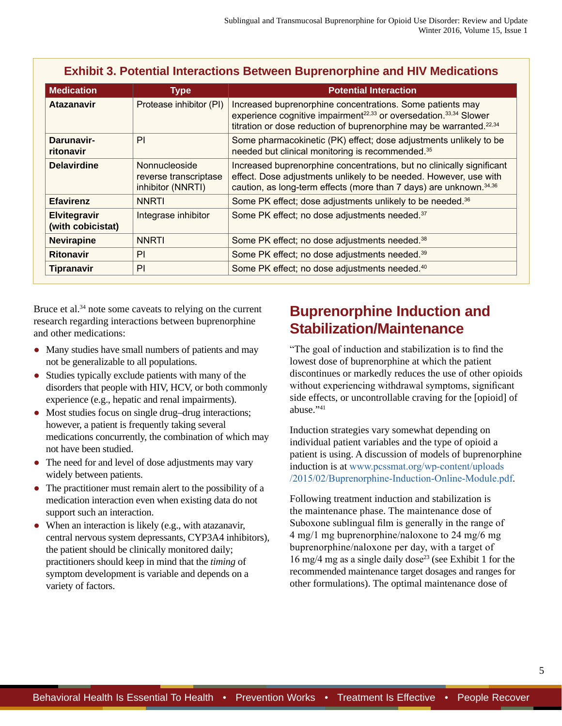| <b>Medication</b>                 | <b>Type</b>                                                 | <b>Potential Interaction</b>                                                                                                                                                                                                              |
|-----------------------------------|-------------------------------------------------------------|-------------------------------------------------------------------------------------------------------------------------------------------------------------------------------------------------------------------------------------------|
| <b>Atazanavir</b>                 | Protease inhibitor (PI)                                     | Increased buprenorphine concentrations. Some patients may<br>experience cognitive impairment <sup>22,33</sup> or oversedation. <sup>33,34</sup> Slower<br>titration or dose reduction of buprenorphine may be warranted. <sup>22,34</sup> |
| Darunavir-<br>ritonavir           | PI                                                          | Some pharmacokinetic (PK) effect; dose adjustments unlikely to be<br>needed but clinical monitoring is recommended. <sup>35</sup>                                                                                                         |
| <b>Delavirdine</b>                | Nonnucleoside<br>reverse transcriptase<br>inhibitor (NNRTI) | Increased buprenorphine concentrations, but no clinically significant<br>effect. Dose adjustments unlikely to be needed. However, use with<br>caution, as long-term effects (more than 7 days) are unknown. 34,36                         |
| <b>Efavirenz</b>                  | <b>NNRTI</b>                                                | Some PK effect; dose adjustments unlikely to be needed. <sup>36</sup>                                                                                                                                                                     |
| Elvitegravir<br>(with cobicistat) | Integrase inhibitor                                         | Some PK effect; no dose adjustments needed. <sup>37</sup>                                                                                                                                                                                 |
| <b>Nevirapine</b>                 | <b>NNRTI</b>                                                | Some PK effect; no dose adjustments needed. <sup>38</sup>                                                                                                                                                                                 |
| <b>Ritonavir</b>                  | PI                                                          | Some PK effect; no dose adjustments needed. <sup>39</sup>                                                                                                                                                                                 |
| <b>Tipranavir</b>                 | PI                                                          | Some PK effect; no dose adjustments needed. <sup>40</sup>                                                                                                                                                                                 |

### **Exhibit 3. Potential Interactions Between Buprenorphine and HIV Medications**

Bruce et al.<sup>34</sup> note some caveats to relying on the current research regarding interactions between buprenorphine and other medications:

- Many studies have small numbers of patients and may not be generalizable to all populations.
- Studies typically exclude patients with many of the disorders that people with HIV, HCV, or both commonly experience (e.g., hepatic and renal impairments).
- Most studies focus on single drug–drug interactions; however, a patient is frequently taking several medications concurrently, the combination of which may not have been studied.
- The need for and level of dose adjustments may vary widely between patients.
- The practitioner must remain alert to the possibility of a medication interaction even when existing data do not support such an interaction.
- When an interaction is likely (e.g., with atazanavir, central nervous system depressants, CYP3A4 inhibitors), the patient should be clinically monitored daily; practitioners should keep in mind that the *timing* of symptom development is variable and depends on a variety of factors.

## **Buprenorphine Induction and Stabilization/Maintenance**

"The goal of induction and stabilization is to find the lowest dose of buprenorphine at which the patient discontinues or markedly reduces the use of other opioids without experiencing withdrawal symptoms, significant side effects, or uncontrollable craving for the [opioid] of abuse."41

Induction strategies vary somewhat depending on individual patient variables and the type of opioid a patient is using. A discussion of models of buprenorphine induction is at [www.pcssmat.org/wp-content/uploads](http://www.pcssmat.org/wp-content/uploads/2015/02/Buprenorphine-Induction-Online-Module.pdf) [/2015/02/Buprenorphine-Induction-Online-Module.pdf](http://www.pcssmat.org/wp-content/uploads/2015/02/Buprenorphine-Induction-Online-Module.pdf).

Following treatment induction and stabilization is the maintenance phase. The maintenance dose of Suboxone sublingual film is generally in the range of 4 mg/1 mg buprenorphine/naloxone to 24 mg/6 mg buprenorphine/naloxone per day, with a target of 16 mg/4 mg as a single daily dose23 (see Exhibit 1 for the recommended maintenance target dosages and ranges for other formulations). The optimal maintenance dose of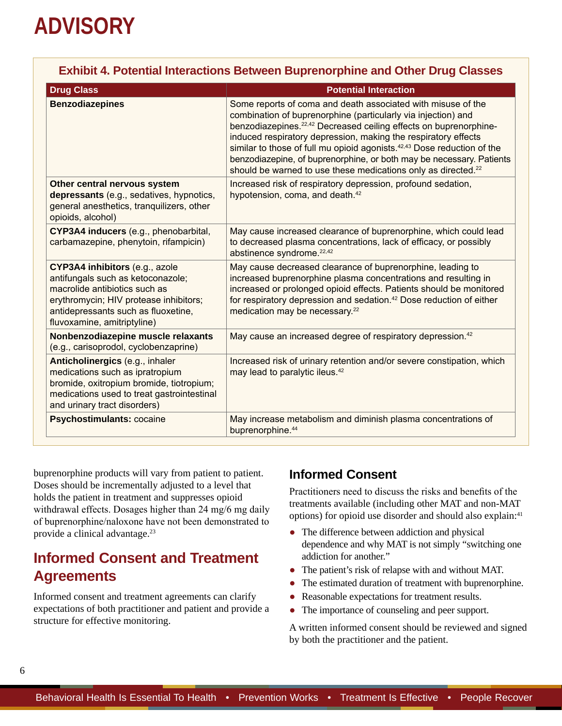| Exhibit 4. Potential Interactions Between Buprenorphine and Other Drug Classes                                                                                                                                       |                                                                                                                                                                                                                                                                                                                                                                                                                                                                                                                              |  |  |
|----------------------------------------------------------------------------------------------------------------------------------------------------------------------------------------------------------------------|------------------------------------------------------------------------------------------------------------------------------------------------------------------------------------------------------------------------------------------------------------------------------------------------------------------------------------------------------------------------------------------------------------------------------------------------------------------------------------------------------------------------------|--|--|
| <b>Drug Class</b>                                                                                                                                                                                                    | <b>Potential Interaction</b>                                                                                                                                                                                                                                                                                                                                                                                                                                                                                                 |  |  |
| <b>Benzodiazepines</b>                                                                                                                                                                                               | Some reports of coma and death associated with misuse of the<br>combination of buprenorphine (particularly via injection) and<br>benzodiazepines. <sup>22,42</sup> Decreased ceiling effects on buprenorphine-<br>induced respiratory depression, making the respiratory effects<br>similar to those of full mu opioid agonists. <sup>42,43</sup> Dose reduction of the<br>benzodiazepine, of buprenorphine, or both may be necessary. Patients<br>should be warned to use these medications only as directed. <sup>22</sup> |  |  |
| Other central nervous system<br>depressants (e.g., sedatives, hypnotics,<br>general anesthetics, tranquilizers, other<br>opioids, alcohol)                                                                           | Increased risk of respiratory depression, profound sedation,<br>hypotension, coma, and death. <sup>42</sup>                                                                                                                                                                                                                                                                                                                                                                                                                  |  |  |
| CYP3A4 inducers (e.g., phenobarbital,<br>carbamazepine, phenytoin, rifampicin)                                                                                                                                       | May cause increased clearance of buprenorphine, which could lead<br>to decreased plasma concentrations, lack of efficacy, or possibly<br>abstinence syndrome. <sup>22,42</sup>                                                                                                                                                                                                                                                                                                                                               |  |  |
| CYP3A4 inhibitors (e.g., azole<br>antifungals such as ketoconazole;<br>macrolide antibiotics such as<br>erythromycin; HIV protease inhibitors;<br>antidepressants such as fluoxetine,<br>fluvoxamine, amitriptyline) | May cause decreased clearance of buprenorphine, leading to<br>increased buprenorphine plasma concentrations and resulting in<br>increased or prolonged opioid effects. Patients should be monitored<br>for respiratory depression and sedation. <sup>42</sup> Dose reduction of either<br>medication may be necessary. <sup>22</sup>                                                                                                                                                                                         |  |  |
| Nonbenzodiazepine muscle relaxants<br>(e.g., carisoprodol, cyclobenzaprine)                                                                                                                                          | May cause an increased degree of respiratory depression. <sup>42</sup>                                                                                                                                                                                                                                                                                                                                                                                                                                                       |  |  |
| Anticholinergics (e.g., inhaler<br>medications such as ipratropium<br>bromide, oxitropium bromide, tiotropium;<br>medications used to treat gastrointestinal<br>and urinary tract disorders)                         | Increased risk of urinary retention and/or severe constipation, which<br>may lead to paralytic ileus. <sup>42</sup>                                                                                                                                                                                                                                                                                                                                                                                                          |  |  |
| Psychostimulants: cocaine                                                                                                                                                                                            | May increase metabolism and diminish plasma concentrations of<br>buprenorphine. <sup>44</sup>                                                                                                                                                                                                                                                                                                                                                                                                                                |  |  |

buprenorphine products will vary from patient to patient. Doses should be incrementally adjusted to a level that holds the patient in treatment and suppresses opioid withdrawal effects. Dosages higher than 24 mg/6 mg daily of buprenorphine/naloxone have not been demonstrated to provide a clinical advantage.23

## **Informed Consent and Treatment Agreements**

Informed consent and treatment agreements can clarify expectations of both practitioner and patient and provide a structure for effective monitoring.

### **Informed Consent**

Practitioners need to discuss the risks and benefits of the treatments available (including other MAT and non-MAT options) for opioid use disorder and should also explain:<sup>41</sup>

- The difference between addiction and physical dependence and why MAT is not simply "switching one addiction for another."
- The patient's risk of relapse with and without MAT.
- The estimated duration of treatment with buprenorphine.
- Reasonable expectations for treatment results.
- The importance of counseling and peer support.

A written informed consent should be reviewed and signed by both the practitioner and the patient.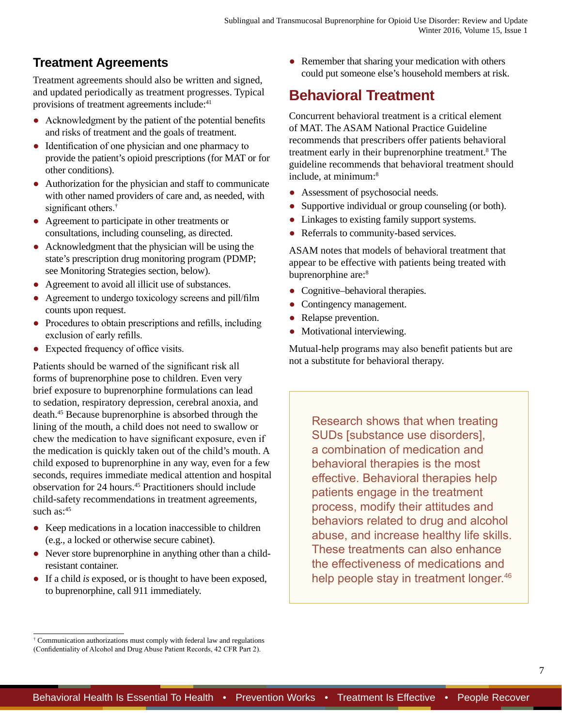## **Treatment Agreements**

Treatment agreements should also be written and signed, and updated periodically as treatment progresses. Typical provisions of treatment agreements include:<sup>41</sup>

- Acknowledgment by the patient of the potential benefits and risks of treatment and the goals of treatment.
- Identification of one physician and one pharmacy to provide the patient's opioid prescriptions (for MAT or for other conditions).
- Authorization for the physician and staff to communicate with other named providers of care and, as needed, with significant others.<sup>†</sup>
- Agreement to participate in other treatments or consultations, including counseling, as directed.
- Acknowledgment that the physician will be using the state's prescription drug monitoring program (PDMP; see Monitoring Strategies section, below).
- Agreement to avoid all illicit use of substances.
- Agreement to undergo toxicology screens and pill/film counts upon request.
- Procedures to obtain prescriptions and refills, including exclusion of early refills.
- Expected frequency of office visits.

Patients should be warned of the significant risk all forms of buprenorphine pose to children. Even very brief exposure to buprenorphine formulations can lead to sedation, respiratory depression, cerebral anoxia, and death.45 Because buprenorphine is absorbed through the lining of the mouth, a child does not need to swallow or chew the medication to have significant exposure, even if the medication is quickly taken out of the child's mouth. A child exposed to buprenorphine in any way, even for a few seconds, requires immediate medical attention and hospital observation for 24 hours.45 Practitioners should include child-safety recommendations in treatment agreements, such  $as:45$ 

- Keep medications in a location inaccessible to children (e.g., a locked or otherwise secure cabinet).
- Never store buprenorphine in anything other than a childresistant container.
- If a child *is* exposed, or is thought to have been exposed, to buprenorphine, call 911 immediately.

• Remember that sharing your medication with others could put someone else's household members at risk.

## **Behavioral Treatment**

Concurrent behavioral treatment is a critical element of MAT. The ASAM National Practice Guideline recommends that prescribers offer patients behavioral treatment early in their buprenorphine treatment.<sup>8</sup> The guideline recommends that behavioral treatment should include, at minimum:8

- Assessment of psychosocial needs.
- Supportive individual or group counseling (or both).
- Linkages to existing family support systems.
- Referrals to community-based services.

ASAM notes that models of behavioral treatment that appear to be effective with patients being treated with buprenorphine are:<sup>8</sup>

- Cognitive–behavioral therapies.
- Contingency management.
- Relapse prevention.
- Motivational interviewing.

Mutual-help programs may also benefit patients but are not a substitute for behavioral therapy.

Research shows that when treating SUDs [substance use disorders], a combination of medication and behavioral therapies is the most effective. Behavioral therapies help patients engage in the treatment process, modify their attitudes and behaviors related to drug and alcohol abuse, and increase healthy life skills. These treatments can also enhance the effectiveness of medications and help people stay in treatment longer.<sup>46</sup>

<sup>†</sup> Communication authorizations must comply with federal law and regulations (Confidentiality of Alcohol and Drug Abuse Patient Records, 42 CFR Part 2).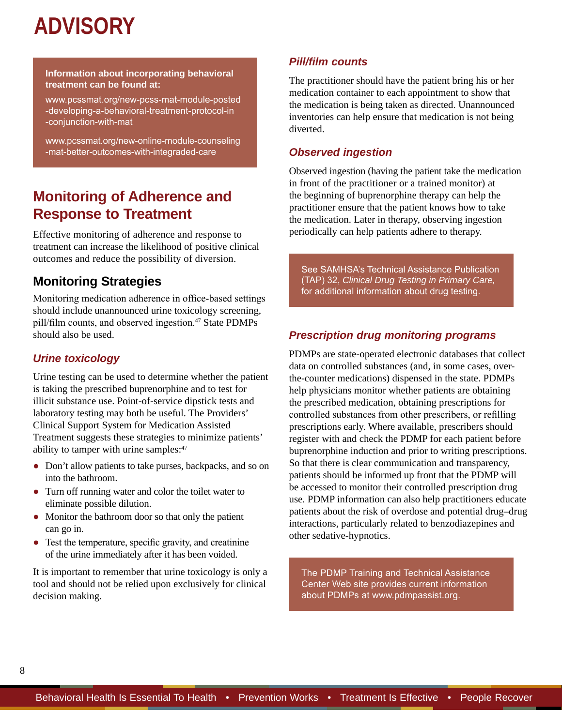#### **Information about incorporating behavioral treatment can be found at:**

[www.pcssmat.org/new-pcss-mat-module-posted](http://www.pcssmat.org/new-pcss-mat-module-posted-developing-a-behavioral-treatment-protocol-in-conjunction-with-mat) -developing-a-behavioral-treatment-protocol-in -conjunction-with-mat

[www.pcssmat.org/new-online-module-counseling](http://www.pcssmat.org/new-online-module-counseling-mat-better-outcomes-with-integraded-care) -mat-better-outcomes-with-integraded-care

## **Monitoring of Adherence and Response to Treatment**

Effective monitoring of adherence and response to treatment can increase the likelihood of positive clinical outcomes and reduce the possibility of diversion.

### **Monitoring Strategies**

Monitoring medication adherence in office-based settings should include unannounced urine toxicology screening, pill/film counts, and observed ingestion.<sup>47</sup> State PDMPs should also be used.

#### *Urine toxicology*

Urine testing can be used to determine whether the patient is taking the prescribed buprenorphine and to test for illicit substance use. Point-of-service dipstick tests and laboratory testing may both be useful. The Providers' Clinical Support System for Medication Assisted Treatment suggests these strategies to minimize patients' ability to tamper with urine samples:<sup>47</sup>

- Don't allow patients to take purses, backpacks, and so on into the bathroom.
- Turn off running water and color the toilet water to eliminate possible dilution.
- Monitor the bathroom door so that only the patient can go in.
- Test the temperature, specific gravity, and creatinine of the urine immediately after it has been voided.

It is important to remember that urine toxicology is only a tool and should not be relied upon exclusively for clinical decision making.

#### *Pill/film counts*

The practitioner should have the patient bring his or her medication container to each appointment to show that the medication is being taken as directed. Unannounced inventories can help ensure that medication is not being diverted.

#### *Observed ingestion*

Observed ingestion (having the patient take the medication in front of the practitioner or a trained monitor) at the beginning of buprenorphine therapy can help the practitioner ensure that the patient knows how to take the medication. Later in therapy, observing ingestion periodically can help patients adhere to therapy.

See SAMHSA's Technical Assistance Publication (TAP) 32, *Clinical Drug Testing in Primary Care,* for additional information about drug testing.

#### *Prescription drug monitoring programs*

PDMPs are state-operated electronic databases that collect data on controlled substances (and, in some cases, overthe-counter medications) dispensed in the state. PDMPs help physicians monitor whether patients are obtaining the prescribed medication, obtaining prescriptions for controlled substances from other prescribers, or refilling prescriptions early. Where available, prescribers should register with and check the PDMP for each patient before buprenorphine induction and prior to writing prescriptions. So that there is clear communication and transparency, patients should be informed up front that the PDMP will be accessed to monitor their controlled prescription drug use. PDMP information can also help practitioners educate patients about the risk of overdose and potential drug–drug interactions, particularly related to benzodiazepines and other sedative-hypnotics.

The PDMP Training and Technical Assistance Center Web site provides current information about PDMPs at [www.pdmpassist.org](http://www.pdmpassist.org).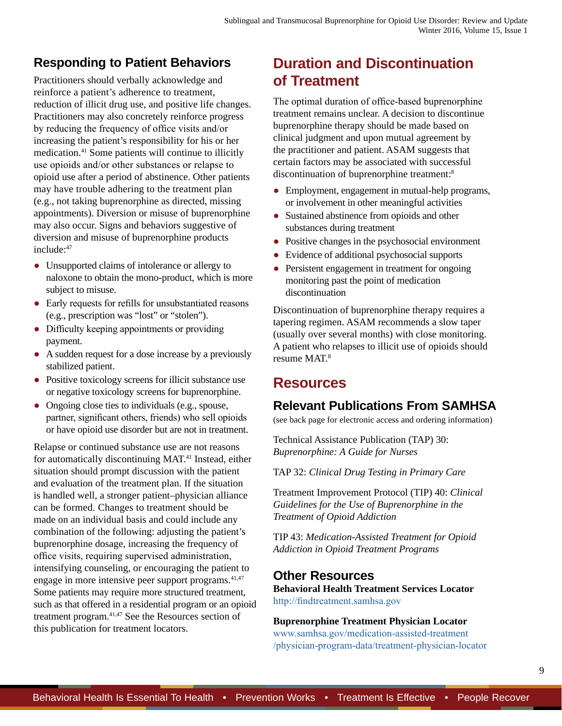## **Responding to Patient Behaviors**

Practitioners should verbally acknowledge and reinforce a patient's adherence to treatment, reduction of illicit drug use, and positive life changes. Practitioners may also concretely reinforce progress by reducing the frequency of office visits and/or increasing the patient's responsibility for his or her medication.41 Some patients will continue to illicitly use opioids and/or other substances or relapse to opioid use after a period of abstinence. Other patients may have trouble adhering to the treatment plan (e.g., not taking buprenorphine as directed, missing appointments). Diversion or misuse of buprenorphine may also occur. Signs and behaviors suggestive of diversion and misuse of buprenorphine products include:47

- Unsupported claims of intolerance or allergy to naloxone to obtain the mono-product, which is more subject to misuse.
- Early requests for refills for unsubstantiated reasons (e.g., prescription was "lost" or "stolen").
- Difficulty keeping appointments or providing payment.
- A sudden request for a dose increase by a previously stabilized patient.
- Positive toxicology screens for illicit substance use or negative toxicology screens for buprenorphine.
- Ongoing close ties to individuals (e.g., spouse, partner, significant others, friends) who sell opioids or have opioid use disorder but are not in treatment.

Relapse or continued substance use are not reasons for automatically discontinuing MAT.41 Instead, either situation should prompt discussion with the patient and evaluation of the treatment plan. If the situation is handled well, a stronger patient–physician alliance can be formed. Changes to treatment should be made on an individual basis and could include any combination of the following: adjusting the patient's buprenorphine dosage, increasing the frequency of office visits, requiring supervised administration, intensifying counseling, or encouraging the patient to engage in more intensive peer support programs.<sup>41,47</sup> Some patients may require more structured treatment, such as that offered in a residential program or an opioid treatment program.41,47 See the Resources section of this publication for treatment locators.

## **Duration and Discontinuation of Treatment**

The optimal duration of office-based buprenorphine treatment remains unclear. A decision to discontinue buprenorphine therapy should be made based on clinical judgment and upon mutual agreement by the practitioner and patient. ASAM suggests that certain factors may be associated with successful discontinuation of buprenorphine treatment:8

- Employment, engagement in mutual-help programs, or involvement in other meaningful activities
- Sustained abstinence from opioids and other substances during treatment
- Positive changes in the psychosocial environment
- Evidence of additional psychosocial supports
- Persistent engagement in treatment for ongoing monitoring past the point of medication discontinuation

Discontinuation of buprenorphine therapy requires a tapering regimen. ASAM recommends a slow taper (usually over several months) with close monitoring. A patient who relapses to illicit use of opioids should resume MAT.8

## **Resources**

## **Relevant Publications From SAMHSA**

(see back page for electronic access and ordering information)

Technical Assistance Publication (TAP) 30: *Buprenorphine: A Guide for Nurses*

TAP 32: *Clinical Drug Testing in Primary Care*

Treatment Improvement Protocol (TIP) 40: *Clinical Guidelines for the Use of Buprenorphine in the Treatment of Opioid Addiction*

TIP 43: *Medication-Assisted Treatment for Opioid Addiction in Opioid Treatment Programs*

### **Other Resources**

**Behavioral Health Treatment Services Locator** <http://findtreatment.samhsa.gov>

**Buprenorphine Treatment Physician Locator** [www.samhsa.gov/medication-assisted-treatment](http://www.samhsa.gov/medication-assisted-treatment/physician-program-data/treatment-physician-locator) [/physician-program-data/treatment-physician-locator](http://www.samhsa.gov/medication-assisted-treatment/physician-program-data/treatment-physician-locator)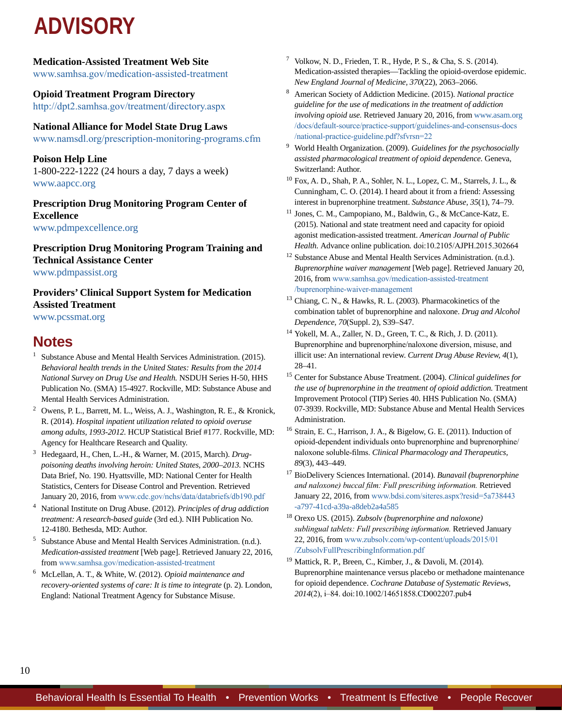#### **Medication-Assisted Treatment Web Site**

[www.samhsa.gov/medication-assisted-treatment](http://www.samhsa.gov/medication-assisted-treatment)

#### **Opioid Treatment Program Directory**

<http://dpt2.samhsa.gov/treatment/directory.aspx>

#### **National Alliance for Model State Drug Laws**

[www.namsdl.org/prescription-monitoring-programs.cfm](http://www.namsdl.org/prescription-monitoring-programs.cfm)

#### **Poison Help Line**

1-800-222-1222 (24 hours a day, 7 days a week) [www.aapcc.org](http://www.aapcc.org)

#### **Prescription Drug Monitoring Program Center of Excellence** [www.pdmpexcellence.org](http://www.pdmpexcellence.org)

**Prescription Drug Monitoring Program Training and Technical Assistance Center**  [www.pdmpassist.org](http://www.pdmpassist.org)

#### **Providers' Clinical Support System for Medication Assisted Treatment**

[www.pcssmat.org](http://www.pcssmat.org)

## **Notes**

- <sup>1</sup> Substance Abuse and Mental Health Services Administration. (2015). *Behavioral health trends in the United States: Results from the 2014 National Survey on Drug Use and Health.* NSDUH Series H-50, HHS Publication No. (SMA) 15-4927. Rockville, MD: Substance Abuse and Mental Health Services Administration.
- <sup>2</sup> Owens, P. L., Barrett, M. L., Weiss, A. J., Washington, R. E., & Kronick, R. (2014). *Hospital inpatient utilization related to opioid overuse among adults, 1993-2012.* HCUP Statistical Brief #177. Rockville, MD: Agency for Healthcare Research and Quality.
- <sup>3</sup> Hedegaard, H., Chen, L.-H., & Warner, M. (2015, March). *Drugpoisoning deaths involving heroin: United States, 2000–2013.* NCHS Data Brief, No. 190. Hyattsville, MD: National Center for Health Statistics, Centers for Disease Control and Prevention. Retrieved January 20, 2016, from [www.cdc.gov/nchs/data/databriefs/db190.pdf](http://www.cdc.gov/nchs/data/databriefs/db190.pdf)
- <sup>4</sup> National Institute on Drug Abuse. (2012). *Principles of drug addiction treatment: A research-based guide* (3rd ed.). NIH Publication No. 12-4180. Bethesda, MD: Author.
- <sup>5</sup> Substance Abuse and Mental Health Services Administration. (n.d.). *Medication-assisted treatment* [Web page]. Retrieved January 22, 2016, from [www.samhsa.gov/medication-assisted-treatment](http://www.samhsa.gov/medication-assisted-treatment)
- <sup>6</sup> McLellan, A. T., & White, W. (2012). *Opioid maintenance and recovery-oriented systems of care: It is time to integrate* (p. 2). London, England: National Treatment Agency for Substance Misuse.
- <sup>7</sup> Volkow, N. D., Frieden, T. R., Hyde, P. S., & Cha, S. S. (2014). Medication-assisted therapies—Tackling the opioid-overdose epidemic. *New England Journal of Medicine, 370*(22), 2063–2066.
- <sup>8</sup> American Society of Addiction Medicine. (2015). *National practice guideline for the use of medications in the treatment of addiction involving opioid use.* Retrieved January 20, 2016, from [www.asam.org](http://www.asam.org/docs/default-source/practice-support/guidelines-and-consensus-docs/national-practice-guideline.pdf?sfvrsn=22) [/docs/default-source/practice-support/guidelines-and-consensus-docs](http://www.asam.org/docs/default-source/practice-support/guidelines-and-consensus-docs/national-practice-guideline.pdf?sfvrsn=22) [/national-practice-guideline.pdf?sfvrsn=22](http://www.asam.org/docs/default-source/practice-support/guidelines-and-consensus-docs/national-practice-guideline.pdf?sfvrsn=22)
- <sup>9</sup> World Health Organization. (2009). *Guidelines for the psychosocially assisted pharmacological treatment of opioid dependence.* Geneva, Switzerland: Author.
- $10$  Fox, A. D., Shah, P. A., Sohler, N. L., Lopez, C. M., Starrels, J. L., & Cunningham, C. O. (2014). I heard about it from a friend: Assessing interest in buprenorphine treatment. *Substance Abuse, 35*(1), 74–79.
- <sup>11</sup> Jones, C. M., Campopiano, M., Baldwin, G., & McCance-Katz, E. (2015). National and state treatment need and capacity for opioid agonist medication-assisted treatment. *American Journal of Public Health.* Advance online publication*.* doi:10.2105/AJPH.2015.302664
- <sup>12</sup> Substance Abuse and Mental Health Services Administration. (n.d.). *Buprenorphine waiver management* [Web page]. Retrieved January 20, 2016, from [www.samhsa.gov/medication-assisted-treatment](http://www.samhsa.gov/medication-assisted-treatment/buprenorphine-waiver-management) [/buprenorphine-waiver-management](http://www.samhsa.gov/medication-assisted-treatment/buprenorphine-waiver-management)
- <sup>13</sup> Chiang, C. N., & Hawks, R. L. (2003). Pharmacokinetics of the combination tablet of buprenorphine and naloxone. *Drug and Alcohol Dependence, 70*(Suppl. 2), S39–S47.
- <sup>14</sup> Yokell, M. A., Zaller, N. D., Green, T. C., & Rich, J. D. (2011). Buprenorphine and buprenorphine/naloxone diversion, misuse, and illicit use: An international review. *Current Drug Abuse Review, 4*(1), 28–41.
- <sup>15</sup> Center for Substance Abuse Treatment. (2004). *Clinical guidelines for the use of buprenorphine in the treatment of opioid addiction.* Treatment Improvement Protocol (TIP) Series 40. HHS Publication No. (SMA) 07-3939. Rockville, MD: Substance Abuse and Mental Health Services Administration.
- <sup>16</sup> Strain, E. C., Harrison, J. A., & Bigelow, G. E. (2011). Induction of opioid-dependent individuals onto buprenorphine and buprenorphine/ naloxone soluble-films. *Clinical Pharmacology and Therapeutics, 89*(3), 443–449.
- <sup>17</sup> BioDelivery Sciences International. (2014). *Bunavail (buprenorphine and naloxone) buccal film: Full prescribing information.* Retrieved January 22, 2016, from [www.bdsi.com/siteres.aspx?resid=5a738443](http://www.bdsi.com/siteres.aspx?resid=5a738443-a797-41cd-a39a-a8deb2a4a585) [-a797-41cd-a39a-a8deb2a4a585](http://www.bdsi.com/siteres.aspx?resid=5a738443-a797-41cd-a39a-a8deb2a4a585)
- <sup>18</sup> Orexo US. (2015). *Zubsolv (buprenorphine and naloxone) sublingual tablets: Full prescribing information.* Retrieved January 22, 2016, from [www.zubsolv.com/wp-content/uploads/2015/01](http://www.zubsolv.com/wp-content/uploads/2015/01/ZubsolvFullPrescribingInformation.pdf) [/ZubsolvFullPrescribingInformation.pdf](http://www.zubsolv.com/wp-content/uploads/2015/01/ZubsolvFullPrescribingInformation.pdf)
- $19$  Mattick, R. P., Breen, C., Kimber, J., & Davoli, M. (2014). Buprenorphine maintenance versus placebo or methadone maintenance for opioid dependence. *Cochrane Database of Systematic Reviews, 2014*(2), i–84. doi:10.1002/14651858.CD002207.pub4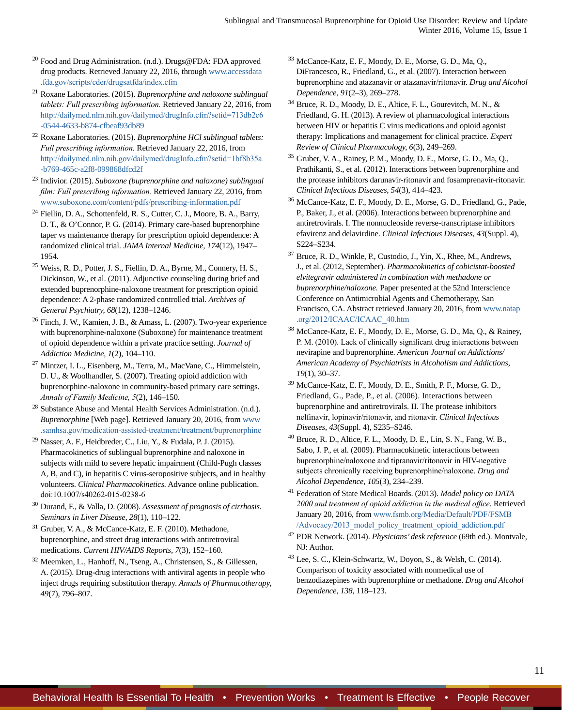- <sup>20</sup> Food and Drug Administration. (n.d.). Drugs@FDA: FDA approved drug products. Retrieved January 22, 2016, through [www.accessdata](http://www.accessdata.fda.gov/scripts/cder/drugsatfda/index.cfm) [.fda.gov/scripts/cder/drugsatfda/index.cfm](http://www.accessdata.fda.gov/scripts/cder/drugsatfda/index.cfm)
- <sup>21</sup> Roxane Laboratories. (2015). *Buprenorphine and naloxone sublingual tablets: Full prescribing information.* Retrieved January 22, 2016, from [http://dailymed.nlm.nih.gov/dailymed/drugInfo.cfm?setid=713db2c6](http://dailymed.nlm.nih.gov/dailymed/drugInfo.cfm?setid=713db2c6-0544-4633-b874-cfbeaf93db89) [-0544-4633-b874-cfbeaf93db89](http://dailymed.nlm.nih.gov/dailymed/drugInfo.cfm?setid=713db2c6-0544-4633-b874-cfbeaf93db89)
- <sup>22</sup> Roxane Laboratories. (2015). *Buprenorphine HCl sublingual tablets: Full prescribing information.* Retrieved January 22, 2016, from [http://dailymed.nlm.nih.gov/dailymed/drugInfo.cfm?setid=1bf8b35a](http://dailymed.nlm.nih.gov/dailymed/drugInfo.cfm?setid=1bf8b35a-b769-465c-a2f8-099868dfcd2f) [-b769-465c-a2f8-099868dfcd2f](http://dailymed.nlm.nih.gov/dailymed/drugInfo.cfm?setid=1bf8b35a-b769-465c-a2f8-099868dfcd2f)
- <sup>23</sup> Indivior. (2015). *Suboxone (buprenorphine and naloxone) sublingual film: Full prescribing information.* Retrieved January 22, 2016, from [www.suboxone.com/content/pdfs/prescribing-information.pdf](http://www.suboxone.com/content/pdfs/prescribing-information.pdf)
- <sup>24</sup> Fiellin, D. A., Schottenfeld, R. S., Cutter, C. J., Moore, B. A., Barry, D. T., & O'Connor, P. G. (2014). Primary care-based buprenorphine taper vs maintenance therapy for prescription opioid dependence: A randomized clinical trial. *JAMA Internal Medicine, 174*(12), 1947– 1954.
- <sup>25</sup> Weiss, R. D., Potter, J. S., Fiellin, D. A., Byrne, M., Connery, H. S., Dickinson, W., et al. (2011). Adjunctive counseling during brief and extended buprenorphine-naloxone treatment for prescription opioid dependence: A 2-phase randomized controlled trial. *Archives of General Psychiatry, 68*(12), 1238–1246.
- <sup>26</sup> Finch, J. W., Kamien, J. B., & Amass, L. (2007). Two-year experience with buprenorphine-naloxone (Suboxone) for maintenance treatment of opioid dependence within a private practice setting. *Journal of Addiction Medicine, 1*(2), 104–110.
- <sup>27</sup> Mintzer, I. L., Eisenberg, M., Terra, M., MacVane, C., Himmelstein, D. U., & Woolhandler, S. (2007). Treating opioid addiction with buprenorphine-naloxone in community-based primary care settings. *Annals of Family Medicine, 5*(2), 146–150.
- <sup>28</sup> Substance Abuse and Mental Health Services Administration. (n.d.). *Buprenorphine* [Web page]. Retrieved January 20, 2016, from [www](http://www.samhsa.gov/medication-assisted-treatment/treatment/buprenorphine) [.samhsa.gov/medication-assisted-treatment/treatment/buprenorphine](http://www.samhsa.gov/medication-assisted-treatment/treatment/buprenorphine)
- <sup>29</sup> Nasser, A. F., Heidbreder, C., Liu, Y., & Fudala, P. J. (2015). Pharmacokinetics of sublingual buprenorphine and naloxone in subjects with mild to severe hepatic impairment (Child-Pugh classes A, B, and C), in hepatitis C virus-seropositive subjects, and in healthy volunteers. *Clinical Pharmacokinetics.* Advance online publication. doi:10.1007/s40262-015-0238-6
- <sup>30</sup> Durand, F., & Valla, D. (2008). *Assessment of prognosis of cirrhosis. Seminars in Liver Disease, 28*(1), 110–122.
- <sup>31</sup> Gruber, V. A., & McCance-Katz, E. F. (2010). Methadone, buprenorphine, and street drug interactions with antiretroviral medications. *Current HIV/AIDS Reports, 7*(3), 152–160.
- <sup>32</sup> Meemken, L., Hanhoff, N., Tseng, A., Christensen, S., & Gillessen, A. (2015). Drug-drug interactions with antiviral agents in people who inject drugs requiring substitution therapy. *Annals of Pharmacotherapy, 49*(7), 796–807.
- <sup>33</sup> McCance-Katz, E. F., Moody, D. E., Morse, G. D., Ma, Q., DiFrancesco, R., Friedland, G., et al. (2007). Interaction between buprenorphine and atazanavir or atazanavir/ritonavir. *Drug and Alcohol Dependence, 91*(2–3), 269–278.
- <sup>34</sup> Bruce, R. D., Moody, D. E., Altice, F. L., Gourevitch, M. N., & Friedland, G. H. (2013). A review of pharmacological interactions between HIV or hepatitis C virus medications and opioid agonist therapy: Implications and management for clinical practice. *Expert Review of Clinical Pharmacology, 6*(3), 249–269.
- <sup>35</sup> Gruber, V. A., Rainey, P. M., Moody, D. E., Morse, G. D., Ma, Q., Prathikanti, S., et al. (2012). Interactions between buprenorphine and the protease inhibitors darunavir-ritonavir and fosamprenavir-ritonavir. *Clinical Infectious Diseases, 54*(3), 414–423.
- <sup>36</sup> McCance-Katz, E. F., Moody, D. E., Morse, G. D., Friedland, G., Pade, P., Baker, J., et al. (2006). Interactions between buprenorphine and antiretrovirals. I. The nonnucleoside reverse-transcriptase inhibitors efavirenz and delavirdine. *Clinical Infectious Diseases, 43*(Suppl. 4), S224–S234.
- <sup>37</sup> Bruce, R. D., Winkle, P., Custodio, J., Yin, X., Rhee, M., Andrews, J., et al. (2012, September). *Pharmacokinetics of cobicistat-boosted elvitegravir administered in combination with methadone or buprenorphine/naloxone.* Paper presented at the 52nd Interscience Conference on Antimicrobial Agents and Chemotherapy, San Francisco, CA. Abstract retrieved January 20, 2016, from [www.natap](http://www.natap.org/2012/ICAAC/ICAAC_40.htm) [.org/2012/ICAAC/ICAAC\\_40.htm](http://www.natap.org/2012/ICAAC/ICAAC_40.htm)
- <sup>38</sup> McCance-Katz, E. F., Moody, D. E., Morse, G. D., Ma, Q., & Rainey, P. M. (2010). Lack of clinically significant drug interactions between nevirapine and buprenorphine. *American Journal on Addictions/ American Academy of Psychiatrists in Alcoholism and Addictions, 19*(1), 30–37.
- <sup>39</sup> McCance-Katz, E. F., Moody, D. E., Smith, P. F., Morse, G. D., Friedland, G., Pade, P., et al. (2006). Interactions between buprenorphine and antiretrovirals. II. The protease inhibitors nelfinavir, lopinavir/ritonavir, and ritonavir. *Clinical Infectious Diseases, 43*(Suppl. 4), S235–S246.
- <sup>40</sup> Bruce, R. D., Altice, F. L., Moody, D. E., Lin, S. N., Fang, W. B., Sabo, J. P., et al. (2009). Pharmacokinetic interactions between buprenorphine/naloxone and tipranavir/ritonavir in HIV-negative subjects chronically receiving buprenorphine/naloxone. *Drug and Alcohol Dependence, 105*(3), 234–239.
- <sup>41</sup> Federation of State Medical Boards. (2013). *Model policy on DATA 2000 and treatment of opioid addiction in the medical office*. Retrieved January 20, 2016, from [www.fsmb.org/Media/Default/PDF/FSMB](http://www.fsmb.org/Media/Default/PDF/FSMB/Advocacy/2013_model_policy_treatment_opioid_addiction.pdf) [/Advocacy/2013\\_model\\_policy\\_treatment\\_opioid\\_addiction.pdf](http://www.fsmb.org/Media/Default/PDF/FSMB/Advocacy/2013_model_policy_treatment_opioid_addiction.pdf)
- <sup>42</sup> PDR Network. (2014). *Physicians' desk reference* (69th ed.). Montvale, NJ: Author.
- <sup>43</sup> Lee, S. C., Klein-Schwartz, W., Doyon, S., & Welsh, C. (2014). Comparison of toxicity associated with nonmedical use of benzodiazepines with buprenorphine or methadone. *Drug and Alcohol Dependence, 138,* 118–123.